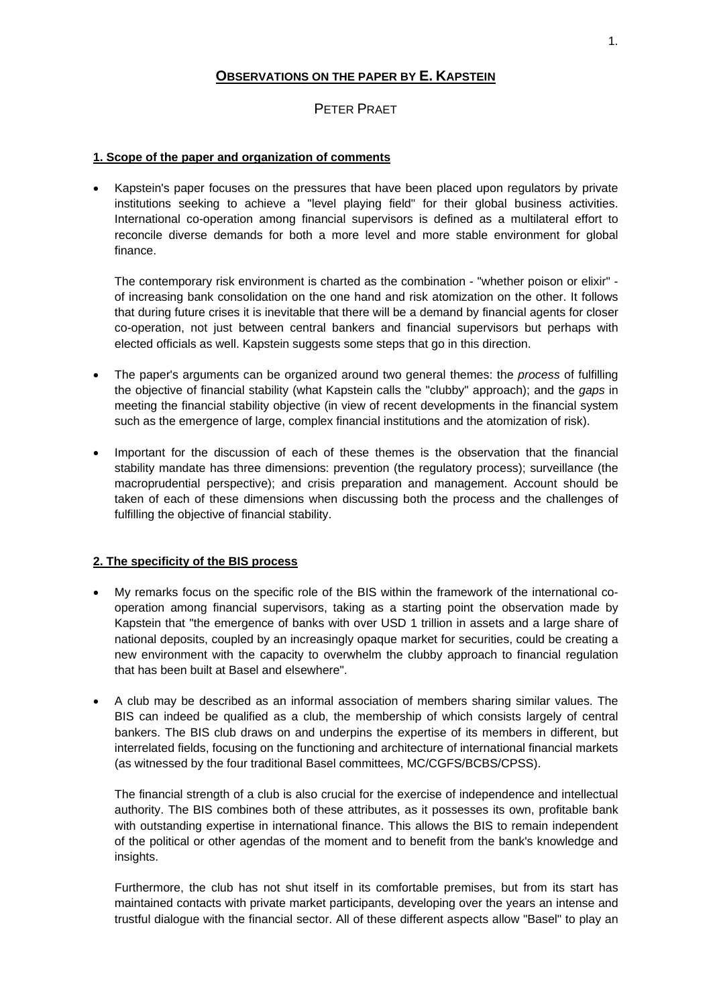# **OBSERVATIONS ON THE PAPER BY E. KAPSTEIN**

# PETER PRAET

### **1. Scope of the paper and organization of comments**

• Kapstein's paper focuses on the pressures that have been placed upon regulators by private institutions seeking to achieve a "level playing field" for their global business activities. International co-operation among financial supervisors is defined as a multilateral effort to reconcile diverse demands for both a more level and more stable environment for global finance.

The contemporary risk environment is charted as the combination - "whether poison or elixir" of increasing bank consolidation on the one hand and risk atomization on the other. It follows that during future crises it is inevitable that there will be a demand by financial agents for closer co-operation, not just between central bankers and financial supervisors but perhaps with elected officials as well. Kapstein suggests some steps that go in this direction.

- The paper's arguments can be organized around two general themes: the *process* of fulfilling the objective of financial stability (what Kapstein calls the "clubby" approach); and the *gaps* in meeting the financial stability objective (in view of recent developments in the financial system such as the emergence of large, complex financial institutions and the atomization of risk).
- Important for the discussion of each of these themes is the observation that the financial stability mandate has three dimensions: prevention (the regulatory process); surveillance (the macroprudential perspective); and crisis preparation and management. Account should be taken of each of these dimensions when discussing both the process and the challenges of fulfilling the objective of financial stability.

# **2. The specificity of the BIS process**

- My remarks focus on the specific role of the BIS within the framework of the international cooperation among financial supervisors, taking as a starting point the observation made by Kapstein that "the emergence of banks with over USD 1 trillion in assets and a large share of national deposits, coupled by an increasingly opaque market for securities, could be creating a new environment with the capacity to overwhelm the clubby approach to financial regulation that has been built at Basel and elsewhere".
- A club may be described as an informal association of members sharing similar values. The BIS can indeed be qualified as a club, the membership of which consists largely of central bankers. The BIS club draws on and underpins the expertise of its members in different, but interrelated fields, focusing on the functioning and architecture of international financial markets (as witnessed by the four traditional Basel committees, MC/CGFS/BCBS/CPSS).

The financial strength of a club is also crucial for the exercise of independence and intellectual authority. The BIS combines both of these attributes, as it possesses its own, profitable bank with outstanding expertise in international finance. This allows the BIS to remain independent of the political or other agendas of the moment and to benefit from the bank's knowledge and insights.

Furthermore, the club has not shut itself in its comfortable premises, but from its start has maintained contacts with private market participants, developing over the years an intense and trustful dialogue with the financial sector. All of these different aspects allow "Basel" to play an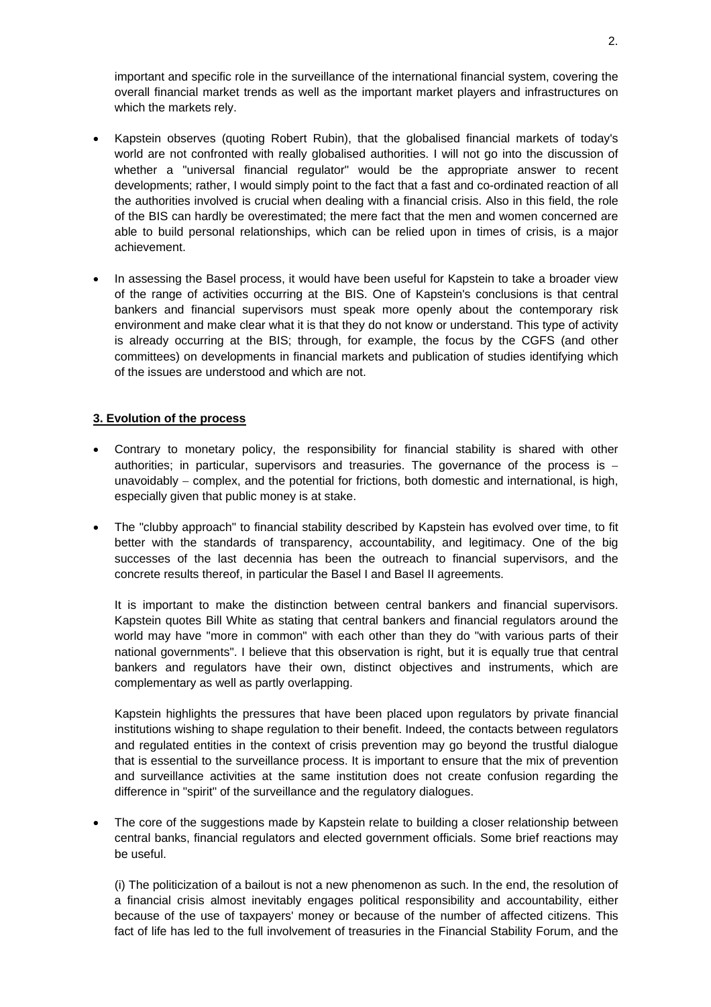important and specific role in the surveillance of the international financial system, covering the overall financial market trends as well as the important market players and infrastructures on which the markets rely.

- Kapstein observes (quoting Robert Rubin), that the globalised financial markets of today's world are not confronted with really globalised authorities. I will not go into the discussion of whether a "universal financial regulator" would be the appropriate answer to recent developments; rather, I would simply point to the fact that a fast and co-ordinated reaction of all the authorities involved is crucial when dealing with a financial crisis. Also in this field, the role of the BIS can hardly be overestimated; the mere fact that the men and women concerned are able to build personal relationships, which can be relied upon in times of crisis, is a major achievement.
- In assessing the Basel process, it would have been useful for Kapstein to take a broader view of the range of activities occurring at the BIS. One of Kapstein's conclusions is that central bankers and financial supervisors must speak more openly about the contemporary risk environment and make clear what it is that they do not know or understand. This type of activity is already occurring at the BIS; through, for example, the focus by the CGFS (and other committees) on developments in financial markets and publication of studies identifying which of the issues are understood and which are not.

### **3. Evolution of the process**

- Contrary to monetary policy, the responsibility for financial stability is shared with other authorities; in particular, supervisors and treasuries. The governance of the process is − unavoidably – complex, and the potential for frictions, both domestic and international, is high, especially given that public money is at stake.
- The "clubby approach" to financial stability described by Kapstein has evolved over time, to fit better with the standards of transparency, accountability, and legitimacy. One of the big successes of the last decennia has been the outreach to financial supervisors, and the concrete results thereof, in particular the Basel I and Basel II agreements.

It is important to make the distinction between central bankers and financial supervisors. Kapstein quotes Bill White as stating that central bankers and financial regulators around the world may have "more in common" with each other than they do "with various parts of their national governments". I believe that this observation is right, but it is equally true that central bankers and regulators have their own, distinct objectives and instruments, which are complementary as well as partly overlapping.

Kapstein highlights the pressures that have been placed upon regulators by private financial institutions wishing to shape regulation to their benefit. Indeed, the contacts between regulators and regulated entities in the context of crisis prevention may go beyond the trustful dialogue that is essential to the surveillance process. It is important to ensure that the mix of prevention and surveillance activities at the same institution does not create confusion regarding the difference in "spirit" of the surveillance and the regulatory dialogues.

The core of the suggestions made by Kapstein relate to building a closer relationship between central banks, financial regulators and elected government officials. Some brief reactions may be useful.

 (i) The politicization of a bailout is not a new phenomenon as such. In the end, the resolution of a financial crisis almost inevitably engages political responsibility and accountability, either because of the use of taxpayers' money or because of the number of affected citizens. This fact of life has led to the full involvement of treasuries in the Financial Stability Forum, and the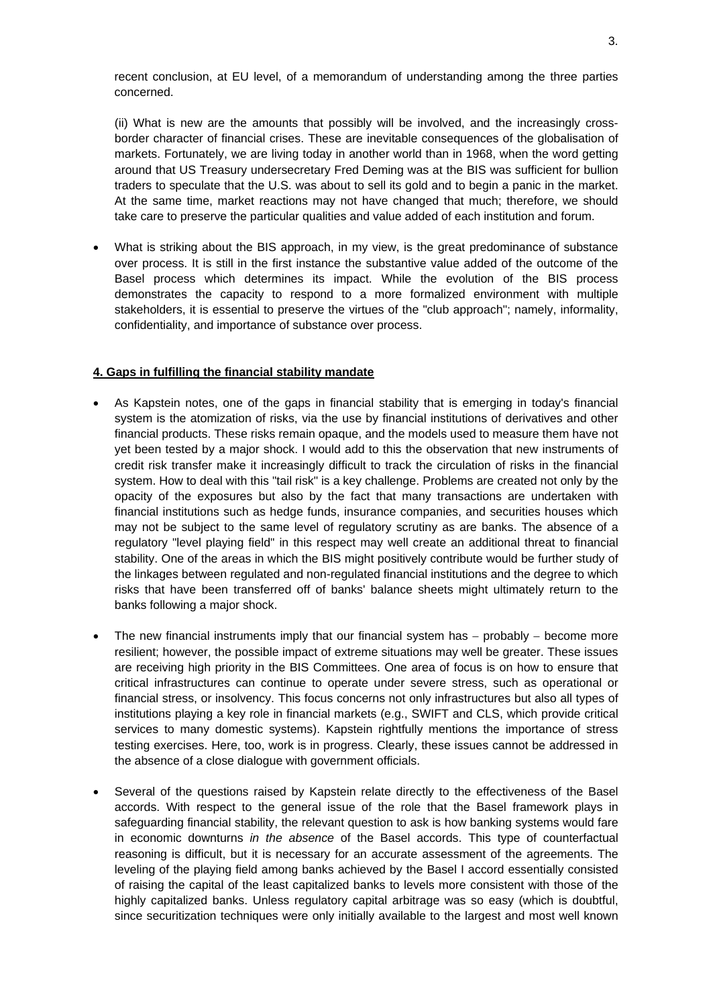recent conclusion, at EU level, of a memorandum of understanding among the three parties concerned.

 (ii) What is new are the amounts that possibly will be involved, and the increasingly crossborder character of financial crises. These are inevitable consequences of the globalisation of markets. Fortunately, we are living today in another world than in 1968, when the word getting around that US Treasury undersecretary Fred Deming was at the BIS was sufficient for bullion traders to speculate that the U.S. was about to sell its gold and to begin a panic in the market. At the same time, market reactions may not have changed that much; therefore, we should take care to preserve the particular qualities and value added of each institution and forum.

• What is striking about the BIS approach, in my view, is the great predominance of substance over process. It is still in the first instance the substantive value added of the outcome of the Basel process which determines its impact. While the evolution of the BIS process demonstrates the capacity to respond to a more formalized environment with multiple stakeholders, it is essential to preserve the virtues of the "club approach"; namely, informality, confidentiality, and importance of substance over process.

#### **4. Gaps in fulfilling the financial stability mandate**

- As Kapstein notes, one of the gaps in financial stability that is emerging in today's financial system is the atomization of risks, via the use by financial institutions of derivatives and other financial products. These risks remain opaque, and the models used to measure them have not yet been tested by a major shock. I would add to this the observation that new instruments of credit risk transfer make it increasingly difficult to track the circulation of risks in the financial system. How to deal with this "tail risk" is a key challenge. Problems are created not only by the opacity of the exposures but also by the fact that many transactions are undertaken with financial institutions such as hedge funds, insurance companies, and securities houses which may not be subject to the same level of regulatory scrutiny as are banks. The absence of a regulatory "level playing field" in this respect may well create an additional threat to financial stability. One of the areas in which the BIS might positively contribute would be further study of the linkages between regulated and non-regulated financial institutions and the degree to which risks that have been transferred off of banks' balance sheets might ultimately return to the banks following a major shock.
- The new financial instruments imply that our financial system has − probably − become more resilient; however, the possible impact of extreme situations may well be greater. These issues are receiving high priority in the BIS Committees. One area of focus is on how to ensure that critical infrastructures can continue to operate under severe stress, such as operational or financial stress, or insolvency. This focus concerns not only infrastructures but also all types of institutions playing a key role in financial markets (e.g., SWIFT and CLS, which provide critical services to many domestic systems). Kapstein rightfully mentions the importance of stress testing exercises. Here, too, work is in progress. Clearly, these issues cannot be addressed in the absence of a close dialogue with government officials.
- Several of the questions raised by Kapstein relate directly to the effectiveness of the Basel accords. With respect to the general issue of the role that the Basel framework plays in safeguarding financial stability, the relevant question to ask is how banking systems would fare in economic downturns *in the absence* of the Basel accords. This type of counterfactual reasoning is difficult, but it is necessary for an accurate assessment of the agreements. The leveling of the playing field among banks achieved by the Basel I accord essentially consisted of raising the capital of the least capitalized banks to levels more consistent with those of the highly capitalized banks. Unless regulatory capital arbitrage was so easy (which is doubtful, since securitization techniques were only initially available to the largest and most well known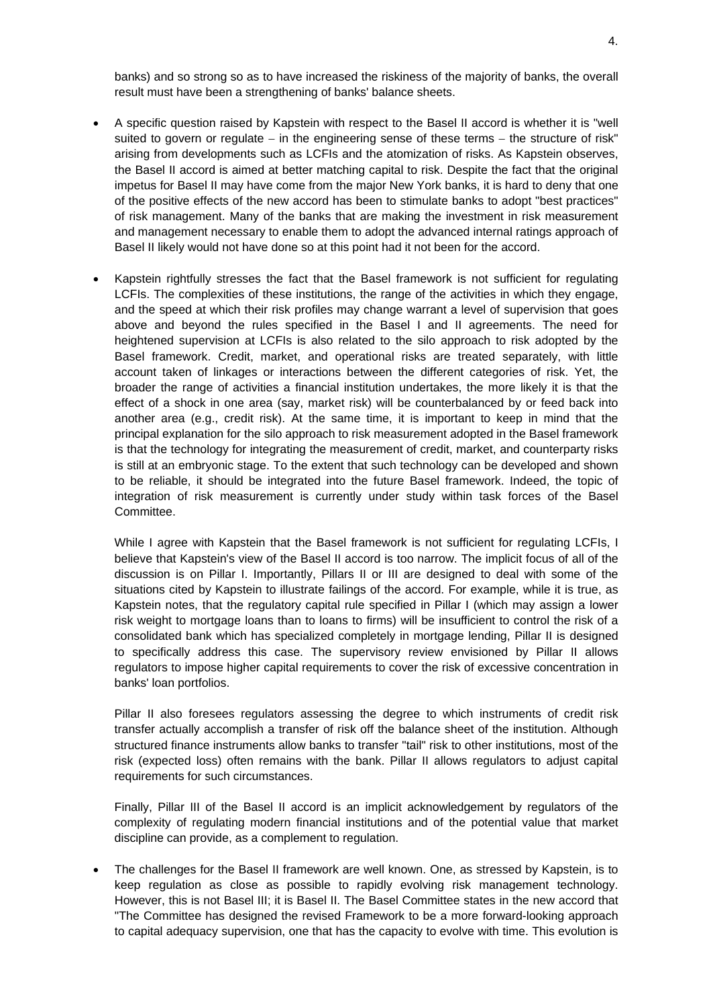banks) and so strong so as to have increased the riskiness of the majority of banks, the overall result must have been a strengthening of banks' balance sheets.

- A specific question raised by Kapstein with respect to the Basel II accord is whether it is "well suited to govern or regulate – in the engineering sense of these terms – the structure of risk" arising from developments such as LCFIs and the atomization of risks. As Kapstein observes, the Basel II accord is aimed at better matching capital to risk. Despite the fact that the original impetus for Basel II may have come from the major New York banks, it is hard to deny that one of the positive effects of the new accord has been to stimulate banks to adopt "best practices" of risk management. Many of the banks that are making the investment in risk measurement and management necessary to enable them to adopt the advanced internal ratings approach of Basel II likely would not have done so at this point had it not been for the accord.
- Kapstein rightfully stresses the fact that the Basel framework is not sufficient for regulating LCFIs. The complexities of these institutions, the range of the activities in which they engage, and the speed at which their risk profiles may change warrant a level of supervision that goes above and beyond the rules specified in the Basel I and II agreements. The need for heightened supervision at LCFIs is also related to the silo approach to risk adopted by the Basel framework. Credit, market, and operational risks are treated separately, with little account taken of linkages or interactions between the different categories of risk. Yet, the broader the range of activities a financial institution undertakes, the more likely it is that the effect of a shock in one area (say, market risk) will be counterbalanced by or feed back into another area (e.g., credit risk). At the same time, it is important to keep in mind that the principal explanation for the silo approach to risk measurement adopted in the Basel framework is that the technology for integrating the measurement of credit, market, and counterparty risks is still at an embryonic stage. To the extent that such technology can be developed and shown to be reliable, it should be integrated into the future Basel framework. Indeed, the topic of integration of risk measurement is currently under study within task forces of the Basel Committee.

While I agree with Kapstein that the Basel framework is not sufficient for regulating LCFIs, I believe that Kapstein's view of the Basel II accord is too narrow. The implicit focus of all of the discussion is on Pillar I. Importantly, Pillars II or III are designed to deal with some of the situations cited by Kapstein to illustrate failings of the accord. For example, while it is true, as Kapstein notes, that the regulatory capital rule specified in Pillar I (which may assign a lower risk weight to mortgage loans than to loans to firms) will be insufficient to control the risk of a consolidated bank which has specialized completely in mortgage lending, Pillar II is designed to specifically address this case. The supervisory review envisioned by Pillar II allows regulators to impose higher capital requirements to cover the risk of excessive concentration in banks' loan portfolios.

 Pillar II also foresees regulators assessing the degree to which instruments of credit risk transfer actually accomplish a transfer of risk off the balance sheet of the institution. Although structured finance instruments allow banks to transfer "tail" risk to other institutions, most of the risk (expected loss) often remains with the bank. Pillar II allows regulators to adjust capital requirements for such circumstances.

 Finally, Pillar III of the Basel II accord is an implicit acknowledgement by regulators of the complexity of regulating modern financial institutions and of the potential value that market discipline can provide, as a complement to regulation.

• The challenges for the Basel II framework are well known. One, as stressed by Kapstein, is to keep regulation as close as possible to rapidly evolving risk management technology. However, this is not Basel III; it is Basel II. The Basel Committee states in the new accord that "The Committee has designed the revised Framework to be a more forward-looking approach to capital adequacy supervision, one that has the capacity to evolve with time. This evolution is